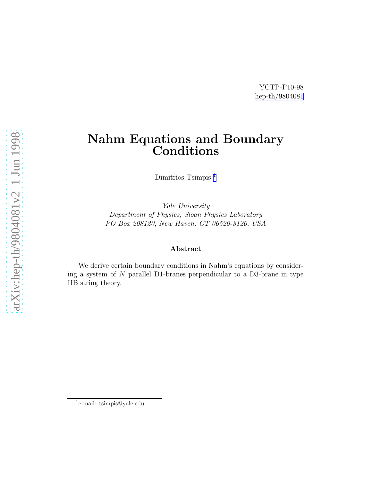### YCTP-P10-98 [hep-th/9804081](http://arxiv.org/abs/hep-th/9804081)

# Nahm Equations and Boundary Conditions

Dimitrios Tsimpis<sup>1</sup>

Yale University Department of Physics, Sloan Physics Laboratory PO Box 208120, New Haven, CT 06520-8120, USA

#### Abstract

We derive certain boundary conditions in Nahm's equations by considering a system of N parallel D1-branes perpendicular to a D3-brane in type IIB string theory.

<sup>1</sup> e-mail: tsimpis@yale.edu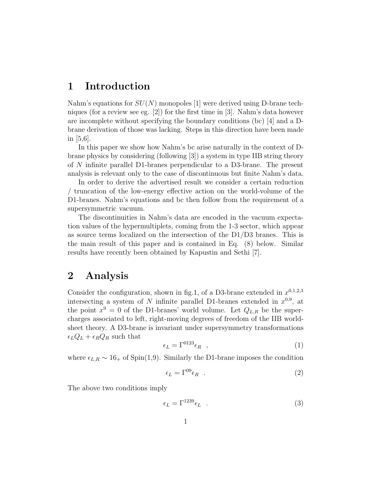### 1 Introduction

Nahm's equations for  $SU(N)$  monopoles [1] were derived using D-brane techniques (for a review see eg.  $|2|$ ) for the first time in [3]. Nahm's data however are incomplete without specifying the boundary conditions (bc) [4] and a Dbrane derivation of those was lacking. Steps in this direction have been made in  $|5,6|$ .

In this paper we show how Nahm's bc arise naturally in the context of Dbrane physics by considering (following [3]) a system in type IIB string theory of N infinite parallel D1-branes perpendicular to a D3-brane. The present analysis is relevant only to the case of discontinuous but finite Nahm's data.

In order to derive the advertised result we consider a certain reduction / truncation of the low-energy effective action on the world-volume of the D1-branes. Nahm's equations and bc then follow from the requirement of a supersymmetric vacuum.

The discontinuities in Nahm's data are encoded in the vacuum expectation values of the hypermultiplets, coming from the 1-3 sector, which appear as source terms localized on the intersection of the D1/D3 branes. This is the main result of this paper and is contained in Eq. (8) below. Similar results have recently been obtained by Kapustin and Sethi [7].

### 2 Analysis

Consider the configuration, shown in fig.1, of a D3-brane extended in  $x^{0,1,2,3}$ intersecting a system of N infinite parallel D1-branes extended in  $x^{0,9}$ , at the point  $x^9 = 0$  of the D1-branes' world volume. Let  $Q_{L,R}$  be the supercharges associated to left, right-moving degrees of freedom of the IIB worldsheet theory. A D3-brane is invariant under supersymmetry transformations  $\epsilon_L Q_L + \epsilon_R Q_R$  such that

$$
\epsilon_L = \Gamma^{0123} \epsilon_R \quad , \tag{1}
$$

where  $\epsilon_{L,R} \sim 16_+$  of Spin(1,9). Similarly the D1-brane imposes the condition

$$
\epsilon_L = \Gamma^{09} \epsilon_R \quad . \tag{2}
$$

The above two conditions imply

$$
\epsilon_L = \Gamma^{1239} \epsilon_L \quad . \tag{3}
$$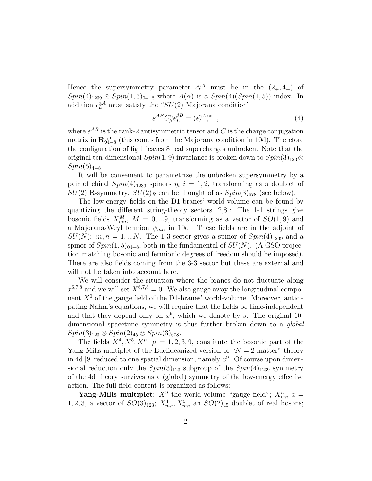Hence the supersymmetry parameter  $\epsilon_L^{\alpha A}$  must be in the  $(2_+, 4_+)$  of  $Spin(4)_{1239} \otimes Spin(1,5)_{04-8}$  where  $A(\alpha)$  is a  $Spin(4)(Spin(1,5))$  index. In addition  $\epsilon_L^{\alpha A}$  must satisfy the "SU(2) Majorana condition"

$$
\varepsilon^{AB} C^{\alpha}_{\beta} \epsilon^{BB}_L = (\epsilon_L^{\alpha A})^* \quad , \tag{4}
$$

where  $\varepsilon^{AB}$  is the rank-2 antisymmetric tensor and C is the charge conjugation matrix in  $\mathbb{R}^{1,5}_{04-8}$  (this comes from the Majorana condition in 10d). Therefore the configuration of fig.1 leaves 8 real supercharges unbroken. Note that the original ten-dimensional  $Spin(1, 9)$  invariance is broken down to  $Spin(3)_{123}\otimes$  $Spin(5)_{4-8}.$ 

It will be convenient to parametrize the unbroken supersymmetry by a pair of chiral  $Spin(4)_{1239}$  spinors  $\eta_i$  i = 1, 2, transforming as a doublet of  $SU(2)$  R-symmetry.  $SU(2)_R$  can be thought of as  $Spin(3)_{678}$  (see below).

The low-energy fields on the D1-branes' world-volume can be found by quantizing the different string-theory sectors [2,8]: The 1-1 strings give bosonic fields  $X_{mn}^M$ ,  $M = 0,...9$ , transforming as a vector of  $SO(1,9)$  and a Majorana-Weyl fermion  $\psi_{mn}$  in 10d. These fields are in the adjoint of  $SU(N)$ :  $m, n = 1,...N$ . The 1-3 sector gives a spinor of  $Spin(4)_{1239}$  and a spinor of  $Spin(1,5)_{04-8}$ , both in the fundamental of  $SU(N)$ . (A GSO projection matching bosonic and fermionic degrees of freedom should be imposed). There are also fields coming from the 3-3 sector but these are external and will not be taken into account here.

We will consider the situation where the branes do not fluctuate along  $x^{6,7,8}$  and we will set  $X^{6,7,8} = 0$ . We also gauge away the longitudinal component  $X^0$  of the gauge field of the D1-branes' world-volume. Moreover, anticipating Nahm's equations, we will require that the fields be time-independent and that they depend only on  $x^9$ , which we denote by s. The original 10dimensional spacetime symmetry is thus further broken down to a *global*  $Spin(3)_{123} \otimes Spin(2)_{45} \otimes Spin(3)_{678}.$ 

The fields  $X^4, X^5, X^{\mu}, \mu = 1, 2, 3, 9$ , constitute the bosonic part of the Yang-Mills multiplet of the Euclideanized version of " $N = 2$  matter" theory in 4d [9] reduced to one spatial dimension, namely  $x^9$ . Of course upon dimensional reduction only the  $Spin(3)_{123}$  subgroup of the  $Spin(4)_{1239}$  symmetry of the 4d theory survives as a (global) symmetry of the low-energy effective action. The full field content is organized as follows:

**Yang-Mills multiplet**:  $X^9$  the world-volume "gauge field";  $X_{mn}^a$  a = 1, 2, 3, a vector of  $SO(3)_{123}$ ;  $X_{mn}^4$ ,  $X_{mn}^5$  an  $SO(2)_{45}$  doublet of real bosons;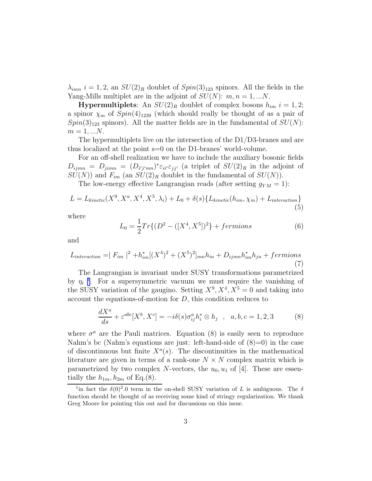$\lambda_{imn}$  i = 1, 2, an  $SU(2)_R$  doublet of  $Spin(3)_{123}$  spinors. All the fields in the Yang-Mills multiplet are in the adjoint of  $SU(N)$ :  $m, n = 1, ...N$ .

**Hypermultiplets**: An  $SU(2)_R$  doublet of complex bosons  $h_{im}$   $i = 1, 2;$ a spinor  $\chi_m$  of  $Spin(4)_{1239}$  (which should really be thought of as a pair of  $Spin(3)_{123}$  spinors). All the matter fields are in the fundamental of  $SU(N)$ :  $m = 1, ... N$ .

The hypermultiplets live on the intersection of the D1/D3-branes and are thus localized at the point s=0 on the D1-branes' world-volume.

For an off-shell realization we have to include the auxiliary bosonic fields  $D_{ijmn} = D_{jimn} = (D_{i'j'mn})^* \varepsilon_{ii'} \varepsilon_{jj'}$  (a triplet of  $SU(2)_R$  in the adjoint of  $SU(N)$  and  $F_{im}$  (an  $SU(2)_R$  doublet in the fundamental of  $SU(N)$ ).

The low-energy effective Langrangian reads (after setting  $g_{YM} = 1$ ):

$$
L = L_{kinetic}(X^9, X^a, X^4, X^5, \lambda_i) + L_0 + \delta(s) \{ L_{kinetic}(h_{im}, \chi_m) + L_{interaction} \}
$$
\n(5)

where

$$
L_0 = \frac{1}{2} Tr\{ (D^2 - ([X^4, X^5])^2 \} + fermions
$$
 (6)

and

$$
L_{interaction} = |F_{im}|^2 + h_{im}^* [(X^4)^2 + (X^5)^2]_{mn} h_{in} + D_{ijmn} h_{im}^* h_{jn} + fermions
$$
\n(7)

The Langrangian is invariant under SUSY transformations parametrized by  $\eta_i$ <sup>1</sup>. For a supersymmetric vacuum we must require the vanishing of the SUSY variation of the gaugino. Setting  $X^9, X^4, X^5 = 0$  and taking into account the equations-of-motion for D, this condition reduces to

$$
\frac{dX^a}{ds} + \varepsilon^{abc}[X^b, X^c] = -i\delta(s)\sigma_{ij}^a h_i^* \otimes h_j \quad , \quad a, b, c = 1, 2, 3 \tag{8}
$$

where  $\sigma^a$  are the Pauli matrices. Equation (8) is easily seen to reproduce Nahm's bc (Nahm's equations are just: left-hand-side of  $(8)=0$ ) in the case of discontinuous but finite  $X^a(s)$ . The discontinuities in the mathematical literature are given in terms of a rank-one  $N \times N$  complex matrix which is parametrized by two complex N-vectors, the  $u_0, u_1$  of [4]. These are essentially the  $h_{1m}$ ,  $h_{2m}$  of Eq.(8).

<sup>&</sup>lt;sup>1</sup>in fact the  $\delta(0)^2.0$  term in the on-shell SUSY variation of L is ambiguous. The  $\delta$ function should be thought of as receiving some kind of stringy regularization. We thank Greg Moore for pointing this out and for discussions on this issue.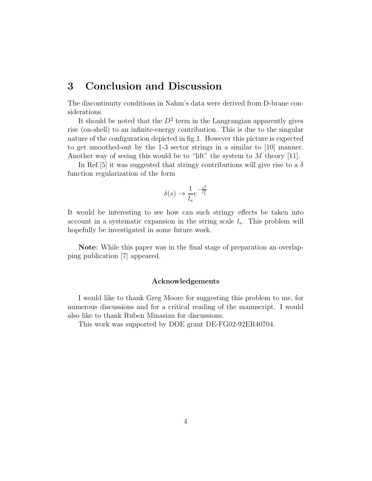## 3 Conclusion and Discussion

The discontinuity conditions in Nahm's data were derived from D-brane considerations.

It should be noted that the  $D^2$  term in the Langrangian apparently gives rise (on-shell) to an infinite-energy contribution. This is due to the singular nature of the configuration depicted in fig.1. However this picture is expected to get smoothed-out by the 1-3 sector strings in a similar to [10] manner. Another way of seeing this would be to "lift" the system to  $M$  theory [11].

In Ref. [5] it was suggested that stringy contributions will give rise to a  $\delta$ function regularization of the form

$$
\delta(s) \to \frac{1}{l_s} e^{-\frac{s^2}{l_s^2}}
$$

It would be interesting to see how can such stringy effects be taken into account in a systematic expansion in the string scale  $l_s$ . This problem will hopefully be investigated in some future work.

Note: While this paper was in the final stage of preparation an overlapping publication [7] appeared.

#### Acknowledgements

I would like to thank Greg Moore for suggesting this problem to me, for numerous discussions and for a critical reading of the manuscript. I would also like to thank Ruben Minasian for discussions.

This work was supported by DOE grant DE-FG02-92ER40704.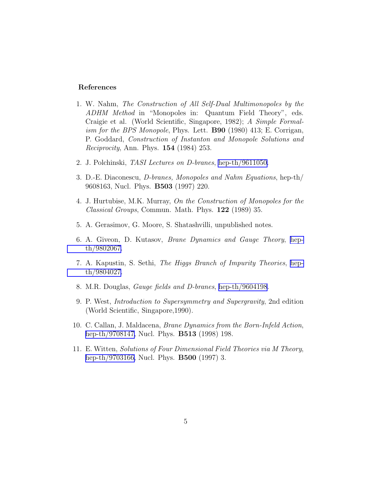#### References

- 1. W. Nahm, The Construction of All Self-Dual Multimonopoles by the ADHM Method in "Monopoles in: Quantum Field Theory", eds. Craigie et al. (World Scientific, Singapore, 1982); A Simple Formalism for the BPS Monopole, Phys. Lett. **B90** (1980) 413; E. Corrigan, P. Goddard, Construction of Instanton and Monopole Solutions and Reciprocity, Ann. Phys. 154 (1984) 253.
- 2. J. Polchinski, TASI Lectures on D-branes, [hep-th/9611050.](http://arxiv.org/abs/hep-th/9611050)
- 3. D.-E. Diaconescu, D-branes, Monopoles and Nahm Equations, hep-th/ 9608163, Nucl. Phys. B503 (1997) 220.
- 4. J. Hurtubise, M.K. Murray, On the Construction of Monopoles for the Classical Groups, Commun. Math. Phys. 122 (1989) 35.
- 5. A. Gerasimov, G. Moore, S. Shatashvilli, unpublished notes.
- 6. A. Giveon, D. Kutasov, Brane Dynamics and Gauge Theory, [hep](http://arxiv.org/abs/hep-th/9802067)[th/9802067.](http://arxiv.org/abs/hep-th/9802067)
- 7. A. Kapustin, S. Sethi, The Higgs Branch of Impurity Theories, [hep](http://arxiv.org/abs/hep-th/9804027)[th/9804027.](http://arxiv.org/abs/hep-th/9804027)
- 8. M.R. Douglas, Gauge fields and D-branes, [hep-th/9604198](http://arxiv.org/abs/hep-th/9604198).
- 9. P. West, Introduction to Supersymmetry and Supergravity, 2nd edition (World Scientific, Singapore,1990).
- 10. C. Callan, J. Maldacena, Brane Dynamics from the Born-Infeld Action, [hep-th/9708147,](http://arxiv.org/abs/hep-th/9708147) Nucl. Phys. B513 (1998) 198.
- 11. E. Witten, Solutions of Four Dimensional Field Theories via M Theory, [hep-th/9703166,](http://arxiv.org/abs/hep-th/9703166) Nucl. Phys. B500 (1997) 3.